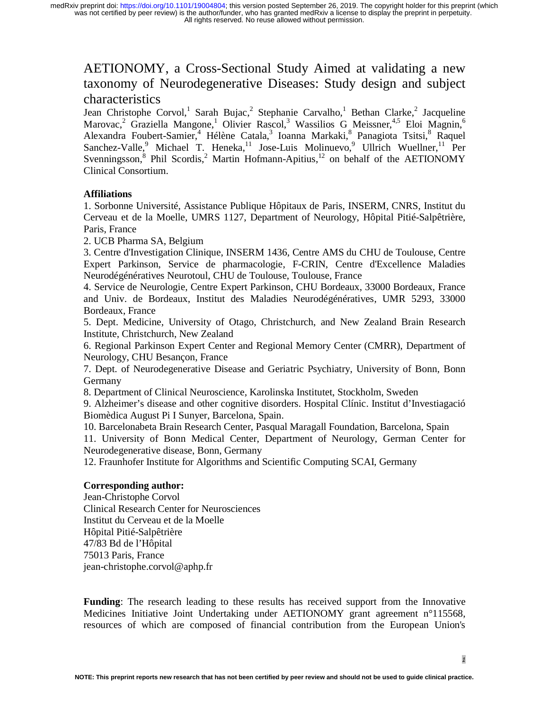# AETIONOMY, a Cross-Sectional Study Aimed at validating a new taxonomy of Neurodegenerative Diseases: Study design and subject characteristics

Jean Christophe Corvol,<sup>1</sup> Sarah Bujac,<sup>2</sup> Stephanie Carvalho,<sup>1</sup> Bethan Clarke,<sup>2</sup> Jacqueline Marovac,<sup>2</sup> Graziella Mangone,<sup>1</sup> Olivier Rascol,<sup>3</sup> Wassilios G Meissner,<sup>4,5</sup> Eloi Magnin,<sup>6</sup> Alexandra Foubert-Samier,<sup>4</sup> Hélène Catala,<sup>3</sup> Ioanna Markaki,<sup>8</sup> Panagiota Tsitsi,<sup>8</sup> Raquel Sanchez-Valle, Michael T. Heneka,<sup>11</sup> Jose-Luis Molinuevo, Ullrich Wuellner, <sup>11</sup> Per Svenningsson, <sup>8</sup> Phil Scordis, <sup>2</sup> Martin Hofmann-Apitius, <sup>12</sup> on behalf of the AETIONOMY Clinical Consortium.

# **Affiliations**

1. Sorbonne Université, Assistance Publique Hôpitaux de Paris, INSERM, CNRS, Institut du Cerveau et de la Moelle, UMRS 1127, Department of Neurology, Hôpital Pitié-Salpêtrière, Paris, France

2. UCB Pharma SA, Belgium

3. Centre d'Investigation Clinique, INSERM 1436, Centre AMS du CHU de Toulouse, Centre Expert Parkinson, Service de pharmacologie, F-CRIN, Centre d'Excellence Maladies Neurodégénératives Neurotoul, CHU de Toulouse, Toulouse, France

4. Service de Neurologie, Centre Expert Parkinson, CHU Bordeaux, 33000 Bordeaux, France and Univ. de Bordeaux, Institut des Maladies Neurodégénératives, UMR 5293, 33000 Bordeaux, France

5. Dept. Medicine, University of Otago, Christchurch, and New Zealand Brain Research Institute, Christchurch, New Zealand

6. Regional Parkinson Expert Center and Regional Memory Center (CMRR), Department of Neurology, CHU Besançon, France

7. Dept. of Neurodegenerative Disease and Geriatric Psychiatry, University of Bonn, Bonn Germany

8. Department of Clinical Neuroscience, Karolinska Institutet, Stockholm, Sweden

9. Alzheimer's disease and other cognitive disorders. Hospital Clínic. Institut d'Investiagació Biomèdica August Pi I Sunyer, Barcelona, Spain.

10. Barcelonabeta Brain Research Center, Pasqual Maragall Foundation, Barcelona, Spain

11. University of Bonn Medical Center, Department of Neurology, German Center for Neurodegenerative disease, Bonn, Germany

12. Fraunhofer Institute for Algorithms and Scientific Computing SCAI, Germany

## **Corresponding author:**

Jean-Christophe Corvol Clinical Research Center for Neurosciences Institut du Cerveau et de la Moelle Hôpital Pitié-Salpêtrière 47/83 Bd de l'Hôpital 75013 Paris, France jean-christophe.corvol@aphp.fr

**Funding**: The research leading to these results has received support from the Innovative Medicines Initiative Joint Undertaking under AETIONOMY grant agreement n°115568, resources of which are composed of financial contribution from the European Union's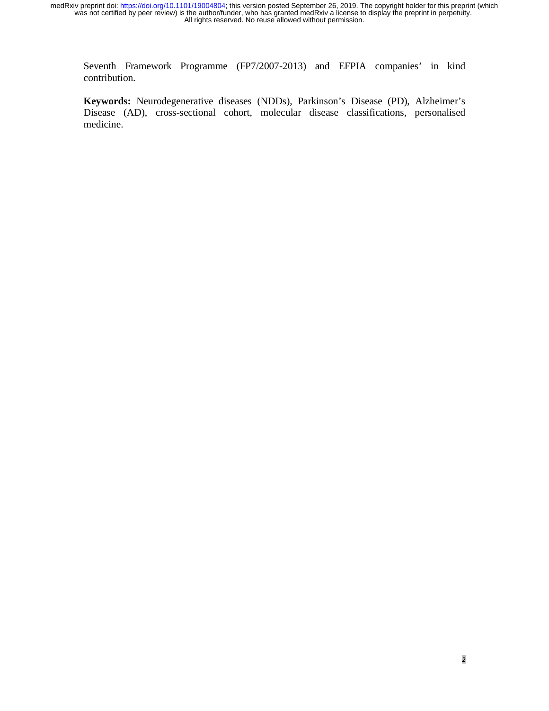Seventh Framework Programme (FP7/2007-2013) and EFPIA companies' in kind contribution.

**Keywords:** Neurodegenerative diseases (NDDs), Parkinson's Disease (PD), Alzheimer's Disease (AD), cross-sectional cohort, molecular disease classifications, personalised medicine.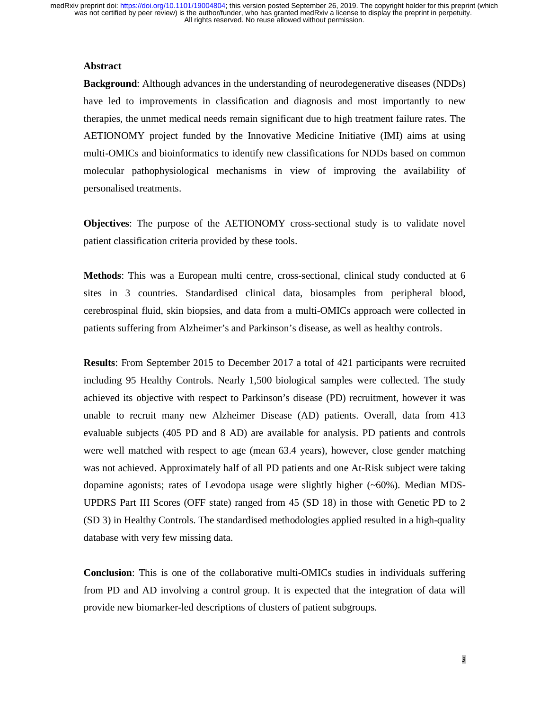#### **Abstract**

**Background**: Although advances in the understanding of neurodegenerative diseases (NDDs) have led to improvements in classification and diagnosis and most importantly to new therapies, the unmet medical needs remain significant due to high treatment failure rates. The AETIONOMY project funded by the Innovative Medicine Initiative (IMI) aims at using multi-OMICs and bioinformatics to identify new classifications for NDDs based on common molecular pathophysiological mechanisms in view of improving the availability of personalised treatments.

**Objectives**: The purpose of the AETIONOMY cross-sectional study is to validate novel patient classification criteria provided by these tools.

**Methods**: This was a European multi centre, cross-sectional, clinical study conducted at 6 sites in 3 countries. Standardised clinical data, biosamples from peripheral blood, cerebrospinal fluid, skin biopsies, and data from a multi-OMICs approach were collected in patients suffering from Alzheimer's and Parkinson's disease, as well as healthy controls.

**Results**: From September 2015 to December 2017 a total of 421 participants were recruited including 95 Healthy Controls. Nearly 1,500 biological samples were collected. The study achieved its objective with respect to Parkinson's disease (PD) recruitment, however it was unable to recruit many new Alzheimer Disease (AD) patients. Overall, data from 413 evaluable subjects (405 PD and 8 AD) are available for analysis. PD patients and controls were well matched with respect to age (mean 63.4 years), however, close gender matching was not achieved. Approximately half of all PD patients and one At-Risk subject were taking dopamine agonists; rates of Levodopa usage were slightly higher (~60%). Median MDS-UPDRS Part III Scores (OFF state) ranged from 45 (SD 18) in those with Genetic PD to 2 (SD 3) in Healthy Controls. The standardised methodologies applied resulted in a high-quality database with very few missing data.

**Conclusion**: This is one of the collaborative multi-OMICs studies in individuals suffering from PD and AD involving a control group. It is expected that the integration of data will provide new biomarker-led descriptions of clusters of patient subgroups.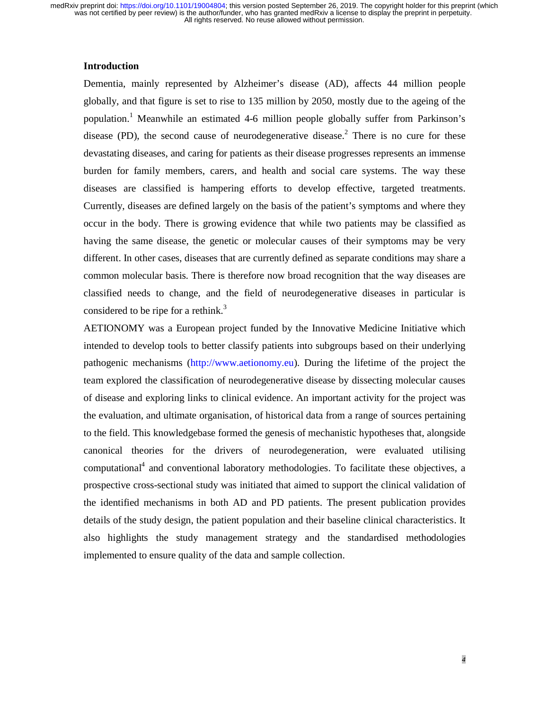#### **Introduction**

Dementia, mainly represented by Alzheimer's disease (AD), affects 44 million people globally, and that figure is set to rise to 135 million by 2050, mostly due to the ageing of the population.<sup>1</sup> Meanwhile an estimated 4-6 million people globally suffer from Parkinson's disease (PD), the second cause of neurodegenerative disease.<sup>2</sup> There is no cure for these devastating diseases, and caring for patients as their disease progresses represents an immense burden for family members, carers, and health and social care systems. The way these diseases are classified is hampering efforts to develop effective, targeted treatments. Currently, diseases are defined largely on the basis of the patient's symptoms and where they occur in the body. There is growing evidence that while two patients may be classified as having the same disease, the genetic or molecular causes of their symptoms may be very different. In other cases, diseases that are currently defined as separate conditions may share a common molecular basis. There is therefore now broad recognition that the way diseases are classified needs to change, and the field of neurodegenerative diseases in particular is considered to be ripe for a rethink.<sup>3</sup>

AETIONOMY was a European project funded by the Innovative Medicine Initiative which intended to develop tools to better classify patients into subgroups based on their underlying pathogenic mechanisms (http://www.aetionomy.eu). During the lifetime of the project the team explored the classification of neurodegenerative disease by dissecting molecular causes of disease and exploring links to clinical evidence. An important activity for the project was the evaluation, and ultimate organisation, of historical data from a range of sources pertaining to the field. This knowledgebase formed the genesis of mechanistic hypotheses that, alongside canonical theories for the drivers of neurodegeneration, were evaluated utilising computational<sup>4</sup> and conventional laboratory methodologies. To facilitate these objectives, a prospective cross-sectional study was initiated that aimed to support the clinical validation of the identified mechanisms in both AD and PD patients. The present publication provides details of the study design, the patient population and their baseline clinical characteristics. It also highlights the study management strategy and the standardised methodologies implemented to ensure quality of the data and sample collection.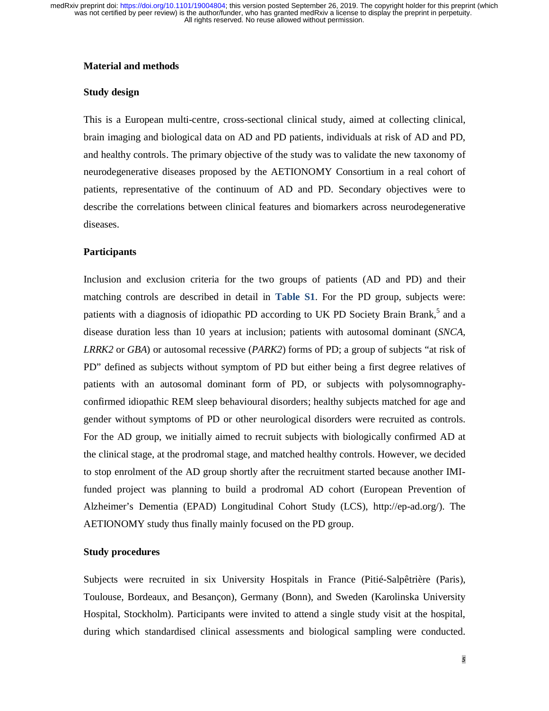### **Material and methods**

#### **Study design**

This is a European multi-centre, cross-sectional clinical study, aimed at collecting clinical, brain imaging and biological data on AD and PD patients, individuals at risk of AD and PD, and healthy controls. The primary objective of the study was to validate the new taxonomy of neurodegenerative diseases proposed by the AETIONOMY Consortium in a real cohort of patients, representative of the continuum of AD and PD. Secondary objectives were to describe the correlations between clinical features and biomarkers across neurodegenerative diseases.

## **Participants**

Inclusion and exclusion criteria for the two groups of patients (AD and PD) and their matching controls are described in detail in **Table S1**. For the PD group, subjects were: patients with a diagnosis of idiopathic PD according to UK PD Society Brain Brank,<sup>5</sup> and a disease duration less than 10 years at inclusion; patients with autosomal dominant (*SNCA, LRRK2* or *GBA*) or autosomal recessive (*PARK2*) forms of PD; a group of subjects "at risk of PD" defined as subjects without symptom of PD but either being a first degree relatives of patients with an autosomal dominant form of PD, or subjects with polysomnographyconfirmed idiopathic REM sleep behavioural disorders; healthy subjects matched for age and gender without symptoms of PD or other neurological disorders were recruited as controls. For the AD group, we initially aimed to recruit subjects with biologically confirmed AD at the clinical stage, at the prodromal stage, and matched healthy controls. However, we decided to stop enrolment of the AD group shortly after the recruitment started because another IMIfunded project was planning to build a prodromal AD cohort (European Prevention of Alzheimer's Dementia (EPAD) Longitudinal Cohort Study (LCS), http://ep-ad.org/). The AETIONOMY study thus finally mainly focused on the PD group.

#### **Study procedures**

Subjects were recruited in six University Hospitals in France (Pitié-Salpêtrière (Paris), Toulouse, Bordeaux, and Besançon), Germany (Bonn), and Sweden (Karolinska University Hospital, Stockholm). Participants were invited to attend a single study visit at the hospital, during which standardised clinical assessments and biological sampling were conducted.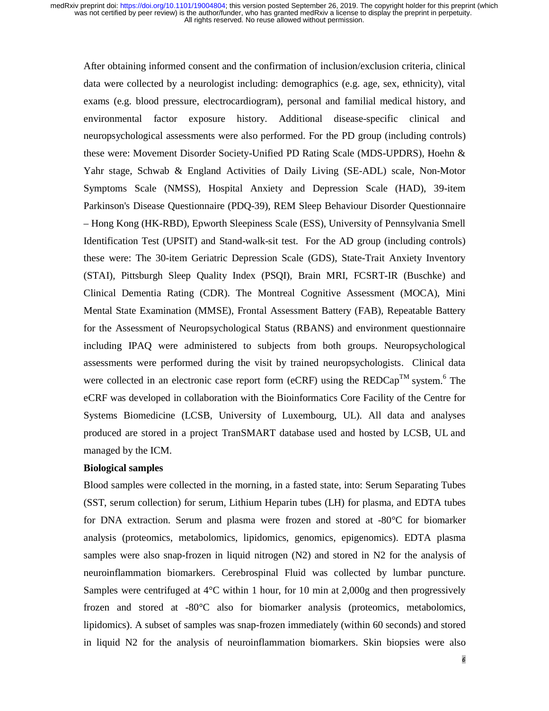After obtaining informed consent and the confirmation of inclusion/exclusion criteria, clinical data were collected by a neurologist including: demographics (e.g. age, sex, ethnicity), vital exams (e.g. blood pressure, electrocardiogram), personal and familial medical history, and environmental factor exposure history. Additional disease-specific clinical and neuropsychological assessments were also performed. For the PD group (including controls) these were: Movement Disorder Society-Unified PD Rating Scale (MDS-UPDRS), Hoehn & Yahr stage, Schwab & England Activities of Daily Living (SE-ADL) scale, Non-Motor Symptoms Scale (NMSS), Hospital Anxiety and Depression Scale (HAD), 39-item Parkinson's Disease Questionnaire (PDQ-39), REM Sleep Behaviour Disorder Questionnaire – Hong Kong (HK-RBD), Epworth Sleepiness Scale (ESS), University of Pennsylvania Smell Identification Test (UPSIT) and Stand-walk-sit test. For the AD group (including controls) these were: The 30-item Geriatric Depression Scale (GDS), State-Trait Anxiety Inventory (STAI), Pittsburgh Sleep Quality Index (PSQI), Brain MRI, FCSRT-IR (Buschke) and Clinical Dementia Rating (CDR). The Montreal Cognitive Assessment (MOCA), Mini Mental State Examination (MMSE), Frontal Assessment Battery (FAB), Repeatable Battery for the Assessment of Neuropsychological Status (RBANS) and environment questionnaire including IPAQ were administered to subjects from both groups. Neuropsychological assessments were performed during the visit by trained neuropsychologists.Clinical data were collected in an electronic case report form (eCRF) using the  $REDCap<sup>TM</sup>$  system.<sup>6</sup> The eCRF was developed in collaboration with the Bioinformatics Core Facility of the Centre for Systems Biomedicine (LCSB, University of Luxembourg, UL). All data and analyses produced are stored in a project TranSMART database used and hosted by LCSB, UL and managed by the ICM.

#### **Biological samples**

Blood samples were collected in the morning, in a fasted state, into: Serum Separating Tubes (SST, serum collection) for serum, Lithium Heparin tubes (LH) for plasma, and EDTA tubes for DNA extraction. Serum and plasma were frozen and stored at -80°C for biomarker analysis (proteomics, metabolomics, lipidomics, genomics, epigenomics). EDTA plasma samples were also snap-frozen in liquid nitrogen (N2) and stored in N2 for the analysis of neuroinflammation biomarkers. Cerebrospinal Fluid was collected by lumbar puncture. Samples were centrifuged at  $4^{\circ}$ C within 1 hour, for 10 min at 2,000g and then progressively frozen and stored at -80°C also for biomarker analysis (proteomics, metabolomics, lipidomics). A subset of samples was snap-frozen immediately (within 60 seconds) and stored in liquid N2 for the analysis of neuroinflammation biomarkers. Skin biopsies were also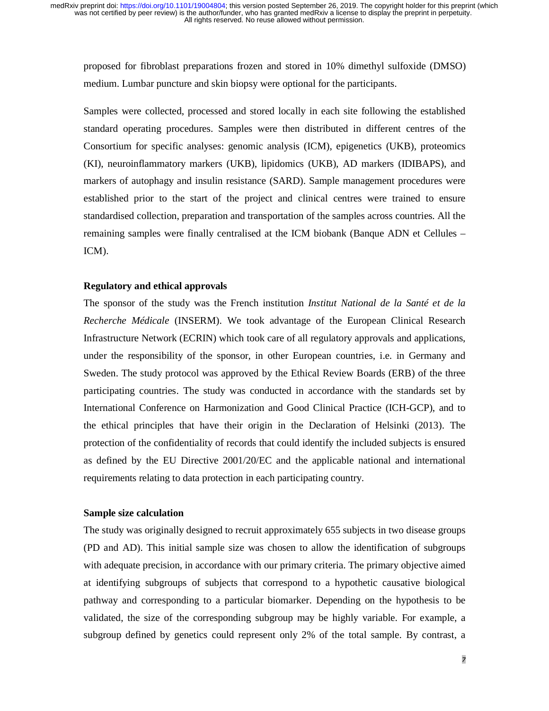proposed for fibroblast preparations frozen and stored in 10% dimethyl sulfoxide (DMSO) medium. Lumbar puncture and skin biopsy were optional for the participants.

Samples were collected, processed and stored locally in each site following the established standard operating procedures. Samples were then distributed in different centres of the Consortium for specific analyses: genomic analysis (ICM), epigenetics (UKB), proteomics (KI), neuroinflammatory markers (UKB), lipidomics (UKB), AD markers (IDIBAPS), and markers of autophagy and insulin resistance (SARD). Sample management procedures were established prior to the start of the project and clinical centres were trained to ensure standardised collection, preparation and transportation of the samples across countries. All the remaining samples were finally centralised at the ICM biobank (Banque ADN et Cellules – ICM).

#### **Regulatory and ethical approvals**

The sponsor of the study was the French institution *Institut National de la Santé et de la Recherche Médicale* (INSERM). We took advantage of the European Clinical Research Infrastructure Network (ECRIN) which took care of all regulatory approvals and applications, under the responsibility of the sponsor, in other European countries, i.e. in Germany and Sweden. The study protocol was approved by the Ethical Review Boards (ERB) of the three participating countries. The study was conducted in accordance with the standards set by International Conference on Harmonization and Good Clinical Practice (ICH-GCP), and to the ethical principles that have their origin in the Declaration of Helsinki (2013). The protection of the confidentiality of records that could identify the included subjects is ensured as defined by the EU Directive 2001/20/EC and the applicable national and international requirements relating to data protection in each participating country.

## **Sample size calculation**

The study was originally designed to recruit approximately 655 subjects in two disease groups (PD and AD). This initial sample size was chosen to allow the identification of subgroups with adequate precision, in accordance with our primary criteria. The primary objective aimed at identifying subgroups of subjects that correspond to a hypothetic causative biological pathway and corresponding to a particular biomarker. Depending on the hypothesis to be validated, the size of the corresponding subgroup may be highly variable. For example, a subgroup defined by genetics could represent only 2% of the total sample. By contrast, a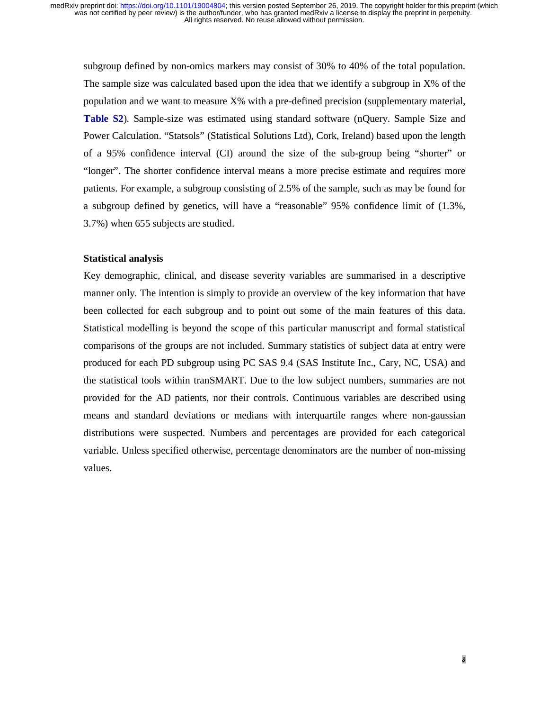subgroup defined by non-omics markers may consist of 30% to 40% of the total population. The sample size was calculated based upon the idea that we identify a subgroup in X% of the population and we want to measure X% with a pre-defined precision (supplementary material, **Table S2**). Sample-size was estimated using standard software (nQuery. Sample Size and Power Calculation. "Statsols" (Statistical Solutions Ltd), Cork, Ireland) based upon the length of a 95% confidence interval (CI) around the size of the sub-group being "shorter" or "longer". The shorter confidence interval means a more precise estimate and requires more patients. For example, a subgroup consisting of 2.5% of the sample, such as may be found for a subgroup defined by genetics, will have a "reasonable" 95% confidence limit of (1.3%, 3.7%) when 655 subjects are studied.

#### **Statistical analysis**

Key demographic, clinical, and disease severity variables are summarised in a descriptive manner only. The intention is simply to provide an overview of the key information that have been collected for each subgroup and to point out some of the main features of this data. Statistical modelling is beyond the scope of this particular manuscript and formal statistical comparisons of the groups are not included. Summary statistics of subject data at entry were produced for each PD subgroup using PC SAS 9.4 (SAS Institute Inc., Cary, NC, USA) and the statistical tools within tranSMART. Due to the low subject numbers, summaries are not provided for the AD patients, nor their controls. Continuous variables are described using means and standard deviations or medians with interquartile ranges where non-gaussian distributions were suspected. Numbers and percentages are provided for each categorical variable. Unless specified otherwise, percentage denominators are the number of non-missing values.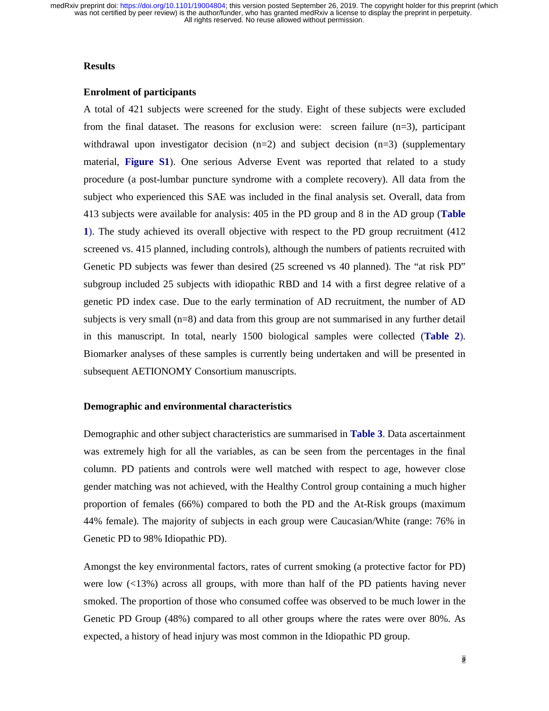#### **Results**

#### **Enrolment of participants**

A total of 421 subjects were screened for the study. Eight of these subjects were excluded from the final dataset. The reasons for exclusion were: screen failure  $(n=3)$ , participant withdrawal upon investigator decision  $(n=2)$  and subject decision  $(n=3)$  (supplementary material, **Figure S1**). One serious Adverse Event was reported that related to a study procedure (a post-lumbar puncture syndrome with a complete recovery). All data from the subject who experienced this SAE was included in the final analysis set. Overall, data from 413 subjects were available for analysis: 405 in the PD group and 8 in the AD group (**Table 1**). The study achieved its overall objective with respect to the PD group recruitment (412 screened vs. 415 planned, including controls), although the numbers of patients recruited with Genetic PD subjects was fewer than desired (25 screened vs 40 planned). The "at risk PD" subgroup included 25 subjects with idiopathic RBD and 14 with a first degree relative of a genetic PD index case. Due to the early termination of AD recruitment, the number of AD subjects is very small (n=8) and data from this group are not summarised in any further detail in this manuscript. In total, nearly 1500 biological samples were collected (**Table 2**). Biomarker analyses of these samples is currently being undertaken and will be presented in subsequent AETIONOMY Consortium manuscripts.

#### **Demographic and environmental characteristics**

Demographic and other subject characteristics are summarised in **Table 3**. Data ascertainment was extremely high for all the variables, as can be seen from the percentages in the final column. PD patients and controls were well matched with respect to age, however close gender matching was not achieved, with the Healthy Control group containing a much higher proportion of females (66%) compared to both the PD and the At-Risk groups (maximum 44% female). The majority of subjects in each group were Caucasian/White (range: 76% in Genetic PD to 98% Idiopathic PD).

Amongst the key environmental factors, rates of current smoking (a protective factor for PD) were low  $\langle$  ( $\langle$ 13%) across all groups, with more than half of the PD patients having never smoked. The proportion of those who consumed coffee was observed to be much lower in the Genetic PD Group (48%) compared to all other groups where the rates were over 80%. As expected, a history of head injury was most common in the Idiopathic PD group.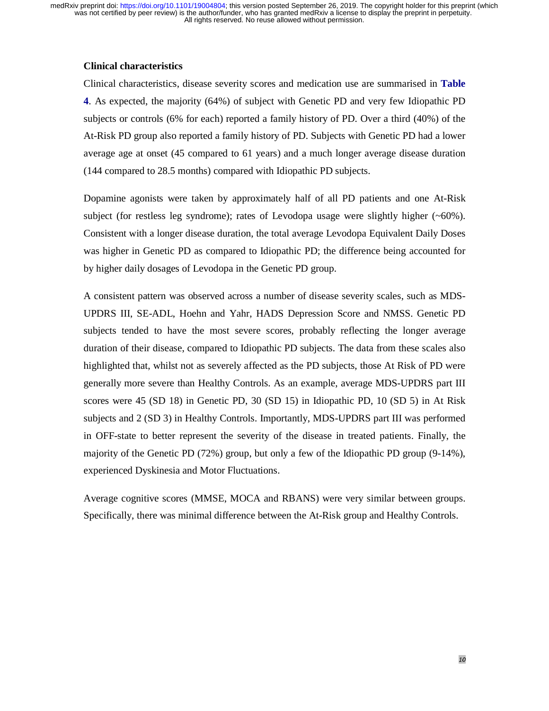#### **Clinical characteristics**

Clinical characteristics, disease severity scores and medication use are summarised in **Table 4**. As expected, the majority (64%) of subject with Genetic PD and very few Idiopathic PD subjects or controls (6% for each) reported a family history of PD. Over a third (40%) of the At-Risk PD group also reported a family history of PD. Subjects with Genetic PD had a lower average age at onset (45 compared to 61 years) and a much longer average disease duration (144 compared to 28.5 months) compared with Idiopathic PD subjects.

Dopamine agonists were taken by approximately half of all PD patients and one At-Risk subject (for restless leg syndrome); rates of Levodopa usage were slightly higher (~60%). Consistent with a longer disease duration, the total average Levodopa Equivalent Daily Doses was higher in Genetic PD as compared to Idiopathic PD; the difference being accounted for by higher daily dosages of Levodopa in the Genetic PD group.

A consistent pattern was observed across a number of disease severity scales, such as MDS-UPDRS III, SE-ADL, Hoehn and Yahr, HADS Depression Score and NMSS. Genetic PD subjects tended to have the most severe scores, probably reflecting the longer average duration of their disease, compared to Idiopathic PD subjects. The data from these scales also highlighted that, whilst not as severely affected as the PD subjects, those At Risk of PD were generally more severe than Healthy Controls. As an example, average MDS-UPDRS part III scores were 45 (SD 18) in Genetic PD, 30 (SD 15) in Idiopathic PD, 10 (SD 5) in At Risk subjects and 2 (SD 3) in Healthy Controls. Importantly, MDS-UPDRS part III was performed in OFF-state to better represent the severity of the disease in treated patients. Finally, the majority of the Genetic PD (72%) group, but only a few of the Idiopathic PD group (9-14%), experienced Dyskinesia and Motor Fluctuations.

Average cognitive scores (MMSE, MOCA and RBANS) were very similar between groups. Specifically, there was minimal difference between the At-Risk group and Healthy Controls.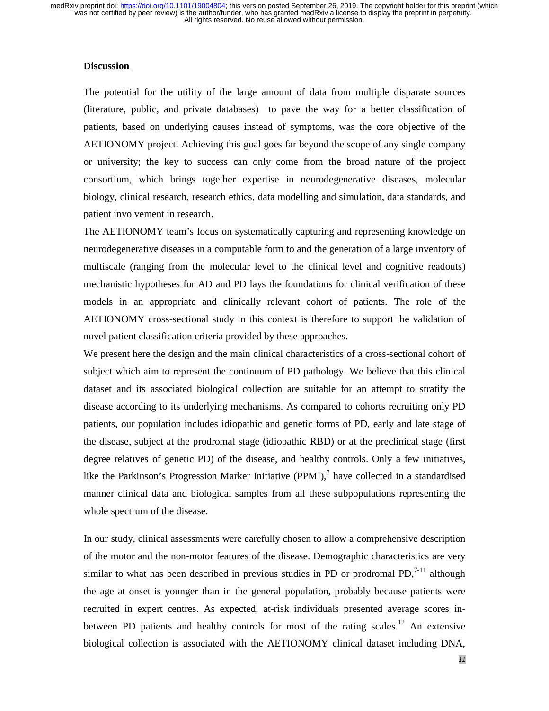#### **Discussion**

The potential for the utility of the large amount of data from multiple disparate sources (literature, public, and private databases) to pave the way for a better classification of patients, based on underlying causes instead of symptoms, was the core objective of the AETIONOMY project. Achieving this goal goes far beyond the scope of any single company or university; the key to success can only come from the broad nature of the project consortium, which brings together expertise in neurodegenerative diseases, molecular biology, clinical research, research ethics, data modelling and simulation, data standards, and patient involvement in research.

The AETIONOMY team's focus on systematically capturing and representing knowledge on neurodegenerative diseases in a computable form to and the generation of a large inventory of multiscale (ranging from the molecular level to the clinical level and cognitive readouts) mechanistic hypotheses for AD and PD lays the foundations for clinical verification of these models in an appropriate and clinically relevant cohort of patients. The role of the AETIONOMY cross-sectional study in this context is therefore to support the validation of novel patient classification criteria provided by these approaches.

We present here the design and the main clinical characteristics of a cross-sectional cohort of subject which aim to represent the continuum of PD pathology. We believe that this clinical dataset and its associated biological collection are suitable for an attempt to stratify the disease according to its underlying mechanisms. As compared to cohorts recruiting only PD patients, our population includes idiopathic and genetic forms of PD, early and late stage of the disease, subject at the prodromal stage (idiopathic RBD) or at the preclinical stage (first degree relatives of genetic PD) of the disease, and healthy controls. Only a few initiatives, like the Parkinson's Progression Marker Initiative (PPMI), $^7$  have collected in a standardised manner clinical data and biological samples from all these subpopulations representing the whole spectrum of the disease.

In our study, clinical assessments were carefully chosen to allow a comprehensive description of the motor and the non-motor features of the disease. Demographic characteristics are very similar to what has been described in previous studies in PD or prodromal PD, $^{7-11}$  although the age at onset is younger than in the general population, probably because patients were recruited in expert centres. As expected, at-risk individuals presented average scores inbetween PD patients and healthy controls for most of the rating scales.<sup>12</sup> An extensive biological collection is associated with the AETIONOMY clinical dataset including DNA,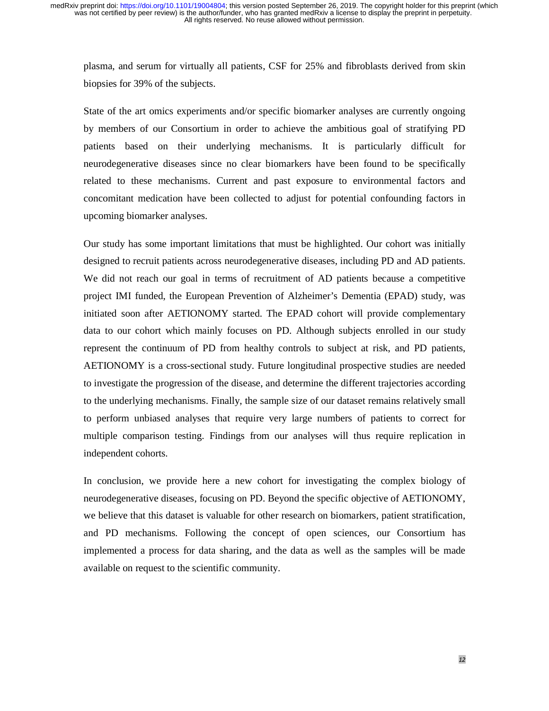plasma, and serum for virtually all patients, CSF for 25% and fibroblasts derived from skin biopsies for 39% of the subjects.

State of the art omics experiments and/or specific biomarker analyses are currently ongoing by members of our Consortium in order to achieve the ambitious goal of stratifying PD patients based on their underlying mechanisms. It is particularly difficult for neurodegenerative diseases since no clear biomarkers have been found to be specifically related to these mechanisms. Current and past exposure to environmental factors and concomitant medication have been collected to adjust for potential confounding factors in upcoming biomarker analyses.

Our study has some important limitations that must be highlighted. Our cohort was initially designed to recruit patients across neurodegenerative diseases, including PD and AD patients. We did not reach our goal in terms of recruitment of AD patients because a competitive project IMI funded, the European Prevention of Alzheimer's Dementia (EPAD) study, was initiated soon after AETIONOMY started. The EPAD cohort will provide complementary data to our cohort which mainly focuses on PD. Although subjects enrolled in our study represent the continuum of PD from healthy controls to subject at risk, and PD patients, AETIONOMY is a cross-sectional study. Future longitudinal prospective studies are needed to investigate the progression of the disease, and determine the different trajectories according to the underlying mechanisms. Finally, the sample size of our dataset remains relatively small to perform unbiased analyses that require very large numbers of patients to correct for multiple comparison testing. Findings from our analyses will thus require replication in independent cohorts.

In conclusion, we provide here a new cohort for investigating the complex biology of neurodegenerative diseases, focusing on PD. Beyond the specific objective of AETIONOMY, we believe that this dataset is valuable for other research on biomarkers, patient stratification, and PD mechanisms. Following the concept of open sciences, our Consortium has implemented a process for data sharing, and the data as well as the samples will be made available on request to the scientific community.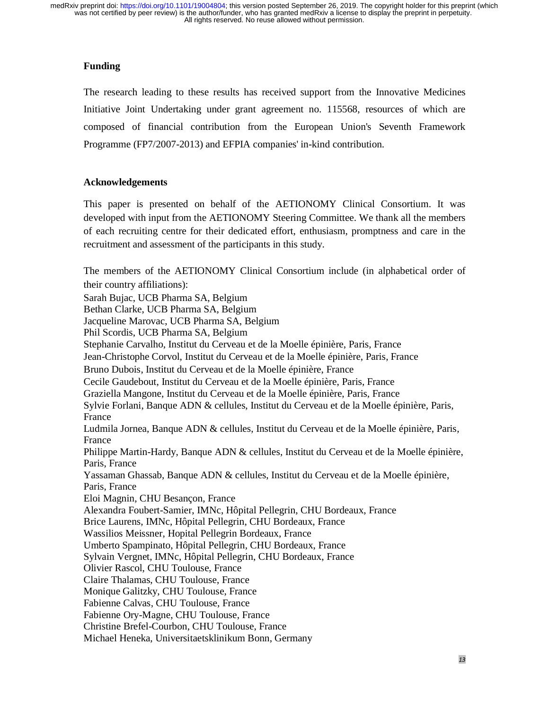# **Funding**

The research leading to these results has received support from the Innovative Medicines Initiative Joint Undertaking under grant agreement no. 115568, resources of which are composed of financial contribution from the European Union's Seventh Framework Programme (FP7/2007-2013) and EFPIA companies' in-kind contribution.

# **Acknowledgements**

This paper is presented on behalf of the AETIONOMY Clinical Consortium. It was developed with input from the AETIONOMY Steering Committee. We thank all the members of each recruiting centre for their dedicated effort, enthusiasm, promptness and care in the recruitment and assessment of the participants in this study.

The members of the AETIONOMY Clinical Consortium include (in alphabetical order of their country affiliations): Sarah Bujac, UCB Pharma SA, Belgium Bethan Clarke, UCB Pharma SA, Belgium Jacqueline Marovac, UCB Pharma SA, Belgium Phil Scordis, UCB Pharma SA, Belgium Stephanie Carvalho, Institut du Cerveau et de la Moelle épinière, Paris, France Jean-Christophe Corvol, Institut du Cerveau et de la Moelle épinière, Paris, France Bruno Dubois, Institut du Cerveau et de la Moelle épinière, France Cecile Gaudebout, Institut du Cerveau et de la Moelle épinière, Paris, France Graziella Mangone, Institut du Cerveau et de la Moelle épinière, Paris, France Sylvie Forlani, Banque ADN & cellules, Institut du Cerveau et de la Moelle épinière, Paris, France Ludmila Jornea, Banque ADN & cellules, Institut du Cerveau et de la Moelle épinière, Paris, France Philippe Martin-Hardy, Banque ADN & cellules, Institut du Cerveau et de la Moelle épinière, Paris, France Yassaman Ghassab, Banque ADN & cellules, Institut du Cerveau et de la Moelle épinière, Paris, France Eloi Magnin, CHU Besançon, France Alexandra Foubert-Samier, IMNc, Hôpital Pellegrin, CHU Bordeaux, France Brice Laurens, IMNc, Hôpital Pellegrin, CHU Bordeaux, France Wassilios Meissner, Hopital Pellegrin Bordeaux, France Umberto Spampinato, Hôpital Pellegrin, CHU Bordeaux, France Sylvain Vergnet, IMNc, Hôpital Pellegrin, CHU Bordeaux, France Olivier Rascol, CHU Toulouse, France Claire Thalamas, CHU Toulouse, France Monique Galitzky, CHU Toulouse, France Fabienne Calvas, CHU Toulouse, France Fabienne Ory-Magne, CHU Toulouse, France Christine Brefel-Courbon, CHU Toulouse, France Michael Heneka, Universitaetsklinikum Bonn, Germany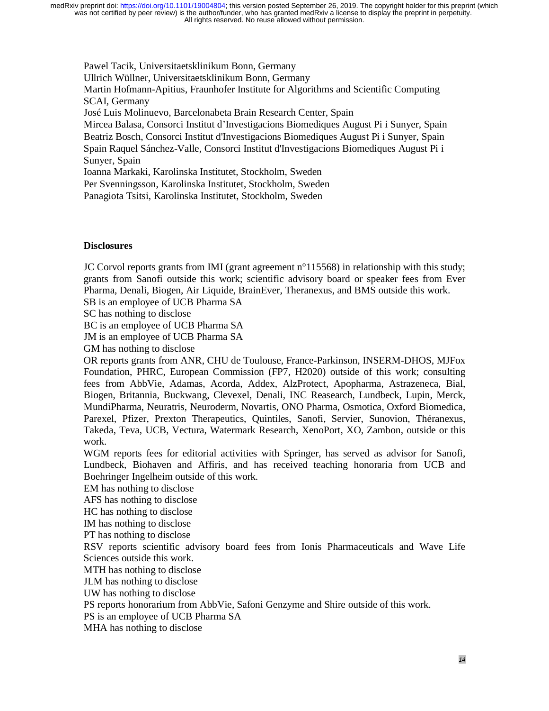Pawel Tacik, Universitaetsklinikum Bonn, Germany Ullrich Wüllner, Universitaetsklinikum Bonn, Germany Martin Hofmann-Apitius, Fraunhofer Institute for Algorithms and Scientific Computing SCAI, Germany José Luis Molinuevo, Barcelonabeta Brain Research Center, Spain Mircea Balasa, Consorci Institut d'Investigacions Biomediques August Pi i Sunyer, Spain Beatriz Bosch, Consorci Institut d'Investigacions Biomediques August Pi i Sunyer, Spain Spain Raquel Sánchez-Valle, Consorci Institut d'Investigacions Biomediques August Pi i Sunyer, Spain Ioanna Markaki, Karolinska Institutet, Stockholm, Sweden

Per Svenningsson, Karolinska Institutet, Stockholm, Sweden

Panagiota Tsitsi, Karolinska Institutet, Stockholm, Sweden

## **Disclosures**

JC Corvol reports grants from IMI (grant agreement  $n^{\circ}$ 115568) in relationship with this study; grants from Sanofi outside this work; scientific advisory board or speaker fees from Ever Pharma, Denali, Biogen, Air Liquide, BrainEver, Theranexus, and BMS outside this work.

SB is an employee of UCB Pharma SA

SC has nothing to disclose

BC is an employee of UCB Pharma SA

JM is an employee of UCB Pharma SA

GM has nothing to disclose

OR reports grants from ANR, CHU de Toulouse, France-Parkinson, INSERM-DHOS, MJFox Foundation, PHRC, European Commission (FP7, H2020) outside of this work; consulting fees from AbbVie, Adamas, Acorda, Addex, AlzProtect, Apopharma, Astrazeneca, Bial, Biogen, Britannia, Buckwang, Clevexel, Denali, INC Reasearch, Lundbeck, Lupin, Merck, MundiPharma, Neuratris, Neuroderm, Novartis, ONO Pharma, Osmotica, Oxford Biomedica, Parexel, Pfizer, Prexton Therapeutics, Quintiles, Sanofi, Servier, Sunovion, Théranexus, Takeda, Teva, UCB, Vectura, Watermark Research, XenoPort, XO, Zambon, outside or this work.

WGM reports fees for editorial activities with Springer, has served as advisor for Sanofi, Lundbeck, Biohaven and Affiris, and has received teaching honoraria from UCB and Boehringer Ingelheim outside of this work.

EM has nothing to disclose

AFS has nothing to disclose

HC has nothing to disclose

IM has nothing to disclose

PT has nothing to disclose

RSV reports scientific advisory board fees from Ionis Pharmaceuticals and Wave Life Sciences outside this work.

MTH has nothing to disclose

JLM has nothing to disclose

UW has nothing to disclose

PS reports honorarium from AbbVie, Safoni Genzyme and Shire outside of this work.

PS is an employee of UCB Pharma SA

MHA has nothing to disclose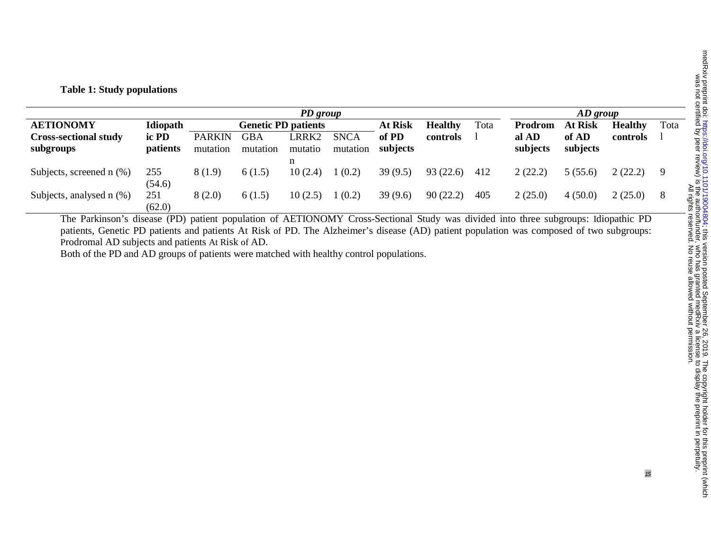# **Table 1: Study populations**

| PD group                                  |                   |                            |                 |                  |                         |                   |          | $AD$ group |                   |                   |          |     |
|-------------------------------------------|-------------------|----------------------------|-----------------|------------------|-------------------------|-------------------|----------|------------|-------------------|-------------------|----------|-----|
| <b>AETIONOMY</b>                          | Idiopath          | <b>Genetic PD patients</b> |                 |                  | <b>At Risk</b>          | <b>Healthy</b>    | Tota     | Prodrom    | <b>At Risk</b>    | <b>Healthy</b>    | Tota     |     |
| <b>Cross-sectional study</b><br>subgroups | ic PD<br>patients | <b>PARKIN</b><br>mutation  | GBA<br>mutation | LRRK2<br>mutatio | <b>SNCA</b><br>mutation | of PD<br>subjects | controls |            | al AD<br>subjects | of AD<br>subjects | controls |     |
|                                           |                   |                            |                 | n                |                         |                   |          |            |                   |                   |          |     |
| Subjects, screened n (%)                  | 255<br>(54.6)     | 8(1.9)                     | 6(1.5)          | 10(2.4)          | 1(0.2)                  | 39(9.5)           | 93(22.6) | 412        | 2(22.2)           | 5(55.6)           | 2(22.2)  | - 9 |
| Subjects, analysed n (%)                  | 251<br>(62.0)     | 8(2.0)                     | 6(1.5)          | 10(2.5)          | (0.2)                   | 39(9.6)           | 90(22.2) | 405        | 2(25.0)           | 4(50.0)           | 2(25.0)  | -8  |

The Parkinson's disease (PD) patient population of AETIONOMY Cross-Sectional Study was divided into three subgroups: Idiopathic PD patients, Genetic PD patients and patients At Risk of PD. The Alzheimer's disease (AD) patient population was composed of two subgroups: Prodromal AD subjects and patients At Risk of AD.

Both of the PD and AD groups of patients were matched with healthy control populations.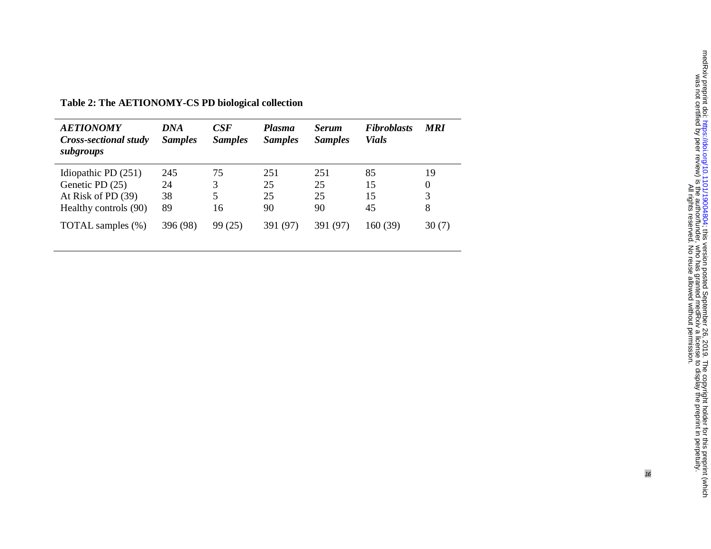| <b>AETIONOMY</b><br>Cross-sectional study<br>subgroups                                  | <b>DNA</b><br><b>Samples</b> | CSE<br><b>Samples</b> | <b>Plasma</b><br><b>Samples</b> | <b>Serum</b><br><b>Samples</b> | <b>Fibroblasts</b><br><b>Vials</b> | <b>MRI</b>        |
|-----------------------------------------------------------------------------------------|------------------------------|-----------------------|---------------------------------|--------------------------------|------------------------------------|-------------------|
| Idiopathic PD $(251)$<br>Genetic PD (25)<br>At Risk of PD (39)<br>Healthy controls (90) | 245<br>24<br>38<br>89        | 75<br>3<br>5<br>16    | 251<br>25<br>25<br>90           | 251<br>25<br>25<br>90          | 85<br>15<br>15<br>45               | 19<br>0<br>3<br>8 |
| TOTAL samples (%)                                                                       | 396 (98)                     | 99 (25)               | 391 (97)                        | 391 (97)                       | 160 (39)                           | 30(7)             |

**Table 2: The AETIONOMY-CS PD biological collection**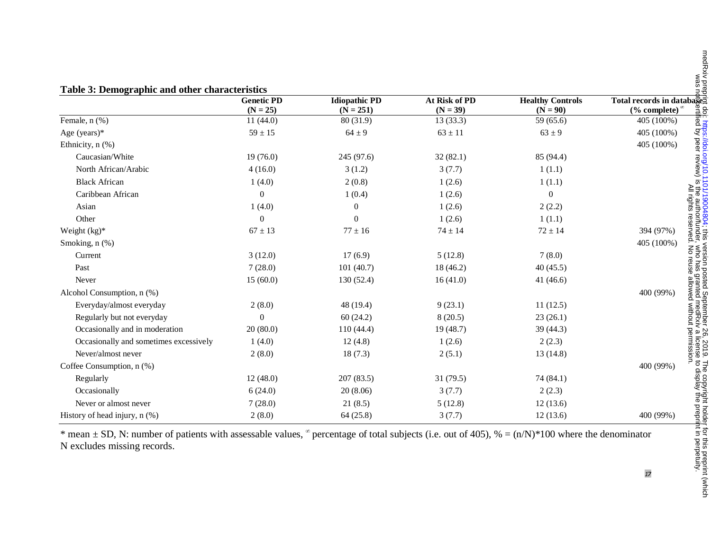| Table 3: Demographic and other characteristics |                                 |                                     |                             |                                       |                                                                         |  |  |  |
|------------------------------------------------|---------------------------------|-------------------------------------|-----------------------------|---------------------------------------|-------------------------------------------------------------------------|--|--|--|
|                                                | <b>Genetic PD</b><br>$(N = 25)$ | <b>Idiopathic PD</b><br>$(N = 251)$ | At Risk of PD<br>$(N = 39)$ | <b>Healthy Controls</b><br>$(N = 90)$ | Total records in database:<br>eцi<br>(% complete) $\alpha$              |  |  |  |
| Female, n (%)                                  | 11(44.0)                        | 80 (31.9)                           | 13(33.3)                    | 59 (65.6)                             | 405 (100%)                                                              |  |  |  |
| Age (years) $*$                                | $59 \pm 15$                     | $64 \pm 9$                          | $63 \pm 11$                 | $63 \pm 9$                            | . Impo <i>uruma</i><br>fied by peer review)<br>405 (100%)               |  |  |  |
| Ethnicity, n (%)                               |                                 |                                     |                             |                                       | 405 (100%)                                                              |  |  |  |
| Caucasian/White                                | 19(76.0)                        | 245 (97.6)                          | 32(82.1)                    | 85 (94.4)                             |                                                                         |  |  |  |
| North African/Arabic                           | 4(16.0)                         | 3(1.2)                              | 3(7.7)                      | 1(1.1)                                |                                                                         |  |  |  |
| <b>Black African</b>                           | 1(4.0)                          | 2(0.8)                              | 1(2.6)                      | 1(1.1)                                | $\overline{\omega}$                                                     |  |  |  |
| Caribbean African                              | $\overline{0}$                  | 1(0.4)                              | 1(2.6)                      | $\boldsymbol{0}$                      |                                                                         |  |  |  |
| Asian                                          | 1(4.0)                          | $\boldsymbol{0}$                    | 1(2.6)                      | 2(2.2)                                |                                                                         |  |  |  |
| Other                                          | 0                               | $\boldsymbol{0}$                    | 1(2.6)                      | 1(1.1)                                |                                                                         |  |  |  |
| Weight $(kg)^*$                                | $67 \pm 13$                     | $77 \pm 16$                         | $74 \pm 14$                 | $72 \pm 14$                           | 394 (97%)                                                               |  |  |  |
| Smoking, n (%)                                 |                                 |                                     |                             |                                       | 405 (100%)                                                              |  |  |  |
| Current                                        | 3(12.0)                         | 17(6.9)                             | 5(12.8)                     | 7(8.0)                                | Mho                                                                     |  |  |  |
| Past                                           | 7(28.0)                         | 101(40.7)                           | 18 (46.2)                   | 40(45.5)                              | has                                                                     |  |  |  |
| Never                                          | 15(60.0)                        | 130 (52.4)                          | 16(41.0)                    | 41 $(46.6)$                           |                                                                         |  |  |  |
| Alcohol Consumption, n (%)                     |                                 |                                     |                             |                                       | nted<br>400 (99%)                                                       |  |  |  |
| Everyday/almost everyday                       | 2(8.0)                          | 48 (19.4)                           | 9(23.1)                     | 11(12.5)                              |                                                                         |  |  |  |
| Regularly but not everyday                     | $\overline{0}$                  | 60(24.2)                            | 8(20.5)                     | 23(26.1)                              |                                                                         |  |  |  |
| Occasionally and in moderation                 | 20(80.0)                        | 110(44.4)                           | 19(48.7)                    | 39 (44.3)                             |                                                                         |  |  |  |
| Occasionally and sometimes excessively         | 1(4.0)                          | 12(4.8)                             | 1(2.6)                      | 2(2.3)                                |                                                                         |  |  |  |
| Never/almost never                             | 2(8.0)                          | 18(7.3)                             | 2(5.1)                      | 13(14.8)                              |                                                                         |  |  |  |
| Coffee Consumption, n (%)                      |                                 |                                     |                             |                                       | 400 (99%)                                                               |  |  |  |
| Regularly                                      | 12(48.0)                        | 207(83.5)                           | 31(79.5)                    | 74 (84.1)                             |                                                                         |  |  |  |
| Occasionally                                   | 6(24.0)                         | 20(8.06)                            | 3(7.7)                      | 2(2.3)                                | cense to display the prepr<br>license to display the prepr<br>rmission. |  |  |  |
| Never or almost never                          | 7(28.0)                         | 21(8.5)                             | 5(12.8)                     | 12(13.6)                              |                                                                         |  |  |  |
| History of head injury, $n$ (%)                | 2(8.0)                          | 64(25.8)                            | 3(7.7)                      | 12(13.6)                              | 400 (99%)                                                               |  |  |  |

\* mean  $\pm$  SD, N: number of patients with assessable values,  $\degree$  percentage of total subjects (i.e. out of 405),  $\% = (n/N)^*100$  where the denominator N excludes missing records.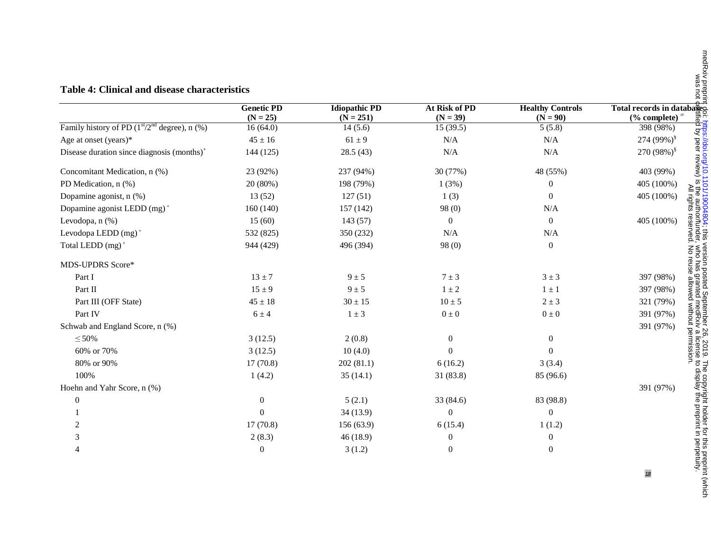#### **Table 4: Clinical and disease characteristics**

|                                                   | <b>Genetic PD</b><br>$(N = 25)$ | <b>Idiopathic PD</b><br>$(N = 251)$ | At Risk of PD<br>$(N = 39)$ | <b>Healthy Controls</b><br>$(N = 90)$ | Total records in databages<br>(% complete) $\alpha$ |
|---------------------------------------------------|---------------------------------|-------------------------------------|-----------------------------|---------------------------------------|-----------------------------------------------------|
| Family history of PD $(1st/2nd$ degree), n $(\%)$ | 16(64.0)                        | 14(5.6)                             | 15(39.5)                    | 5(5.8)                                | 398 (98%)                                           |
| Age at onset (years)*                             | $45 \pm 16$                     | $61 \pm 9$                          | N/A                         | N/A                                   | 274 (99%) <sup>§</sup>                              |
| Disease duration since diagnosis $(months)^{+}$   | 144 (125)                       | 28.5(43)                            | N/A                         | N/A                                   | 270 $(98\%)$ <sup>§</sup>                           |
| Concomitant Medication, n (%)                     | 23 (92%)                        | 237 (94%)                           | 30 (77%)                    | 48 (55%)                              | 403 (99%)                                           |
| PD Medication, n (%)                              | 20 (80%)                        | 198 (79%)                           | 1(3%)                       |                                       | 405 (100%)                                          |
| Dopamine agonist, n (%)                           | 13(52)                          | 127(51)                             | 1(3)                        | 0                                     | 들음<br>405 (100%)                                    |
| Dopamine agonist LEDD $(mg)^+$                    | 160 (140)                       | 157 (142)                           | 98 (0)                      | N/A                                   |                                                     |
| Levodopa, n (%)                                   | 15(60)                          | 143(57)                             | $\overline{0}$              | 0                                     | 405 (100%)                                          |
| Levodopa LEDD (mg) <sup>+</sup>                   | 532 (825)                       | 350 (232)                           | N/A                         | N/A                                   |                                                     |
| Total LEDD (mg) <sup>+</sup>                      | 944 (429)                       | 496 (394)                           | 98(0)                       | $\overline{0}$                        |                                                     |
| <b>MDS-UPDRS Score*</b>                           |                                 |                                     |                             |                                       |                                                     |
| Part I                                            | $13 \pm 7$                      | $9 \pm 5$                           | $7 \pm 3$                   | $3 \pm 3$                             | 397 (98%)                                           |
| Part II                                           | $15 \pm 9$                      | $9 \pm 5$                           | $1 \pm 2$                   | $1 \pm 1$                             | 397 (98%)                                           |
| Part III (OFF State)                              | $45 \pm 18$                     | $30 \pm 15$                         | $10 \pm 5$                  | $2 \pm 3$                             | 321 (79%)                                           |
| Part IV                                           | $6 \pm 4$                       | $1 \pm 3$                           | $0\pm0$                     | $0\pm0$                               | 391 (97%)                                           |
| Schwab and England Score, n (%)                   |                                 |                                     |                             |                                       | 391 (97%)                                           |
| $\leq 50\%$                                       | 3(12.5)                         | 2(0.8)                              | $\boldsymbol{0}$            | $\mathbf{0}$                          |                                                     |
| 60% or 70%                                        | 3(12.5)                         | 10(4.0)                             | 0                           |                                       |                                                     |
| 80% or 90%                                        | 17(70.8)                        | 202(81.1)                           | 6(16.2)                     | 3(3.4)                                |                                                     |
| 100%                                              | 1(4.2)                          | 35(14.1)                            | 31 (83.8)                   | 85 (96.6)                             |                                                     |
| Hoehn and Yahr Score, n (%)                       |                                 |                                     |                             |                                       | 391 (97%)                                           |
| $\theta$                                          | $\theta$                        | 5(2.1)                              | 33 (84.6)                   | 83 (98.8)                             |                                                     |
|                                                   | 0                               | 34(13.9)                            | $\theta$                    | $\mathbf{0}$                          |                                                     |
|                                                   | 17(70.8)                        | 156 (63.9)                          | 6(15.4)                     | 1(1.2)                                |                                                     |
|                                                   | 2(8.3)                          | 46(18.9)                            | $\theta$                    | 0                                     |                                                     |
|                                                   | $\mathbf{0}$                    | 3(1.2)                              | $\theta$                    | $\Omega$                              |                                                     |

was not certified by peer review) is the author/funder, who has granted medRxiv a license to display the preprint in perpetuity. The copyright for this prepries for this prepries in a copyright of  $\sim$  2019.  $\sim$  10.0004804 doi: this version preprint body integration or this preprint form in the copyright polarity prepries in the copyright prepries

18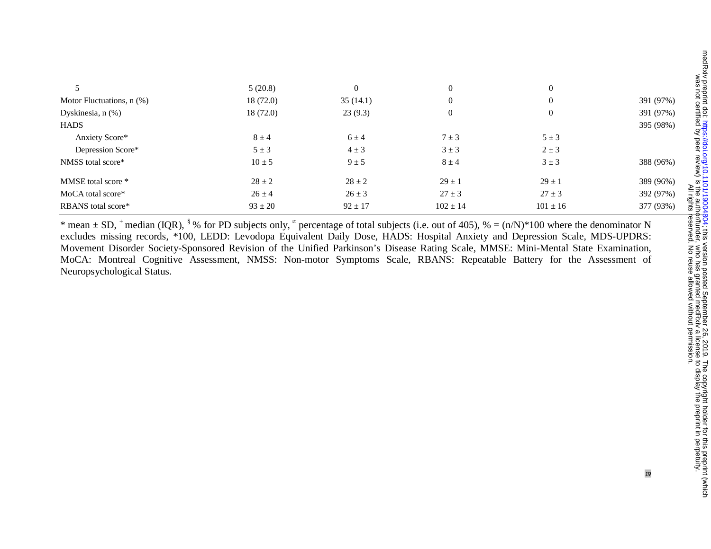|                               | 5(20.8)     | $\mathbf{0}$ | $\mathbf{0}$     | $\theta$       |           |
|-------------------------------|-------------|--------------|------------------|----------------|-----------|
| Motor Fluctuations, $n$ $%$ ) | 18(72.0)    | 35(14.1)     | $\mathbf{0}$     | $\overline{0}$ | 391 (97%) |
| Dyskinesia, n (%)             | 18(72.0)    | 23(9.3)      | $\boldsymbol{0}$ | $\mathbf{0}$   | 391 (97%) |
| <b>HADS</b>                   |             |              |                  |                | 395 (98%) |
| Anxiety Score*                | $8 \pm 4$   | $6 \pm 4$    | $7 \pm 3$        | $5 \pm 3$      |           |
| Depression Score*             | $5 \pm 3$   | $4 \pm 3$    | $3 \pm 3$        | $2 \pm 3$      |           |
| NMSS total score*             | $10 \pm 5$  | $9 \pm 5$    | $8 \pm 4$        | $3 \pm 3$      | 388 (96%) |
| MMSE total score *            | $28 \pm 2$  | $28 \pm 2$   | $29 \pm 1$       | $29 \pm 1$     | 389 (96%) |
| MoCA total score*             | $26 \pm 4$  | $26 \pm 3$   | $27 \pm 3$       | $27 \pm 3$     | 392 (97%) |
| RBANS total score*            | $93 \pm 20$ | $92 \pm 17$  | $102 \pm 14$     | $101 \pm 16$   | 377 (93%) |

\* mean  $\pm$  SD,  $^+$  median (IQR),  $^8\%$  for PD subjects only,  $^{\circ}$  percentage of total subjects (i.e. out of 405),  $\% = (n/N)^*100$  where the denominator N excludes missing records, \*100, LEDD: Levodopa Equivalent Daily Dose, HADS: Hospital Anxiety and Depression Scale, MDS-UPDRS: Movement Disorder Society-Sponsored Revision of the Unified Parkinson's Disease Rating Scale, MMSE: Mini-Mental State Examination, MoCA: Montreal Cognitive Assessment, NMSS: Non-motor Symptoms Scale, RBANS: Repeatable Battery for the Assessment of Neuropsychological Status.